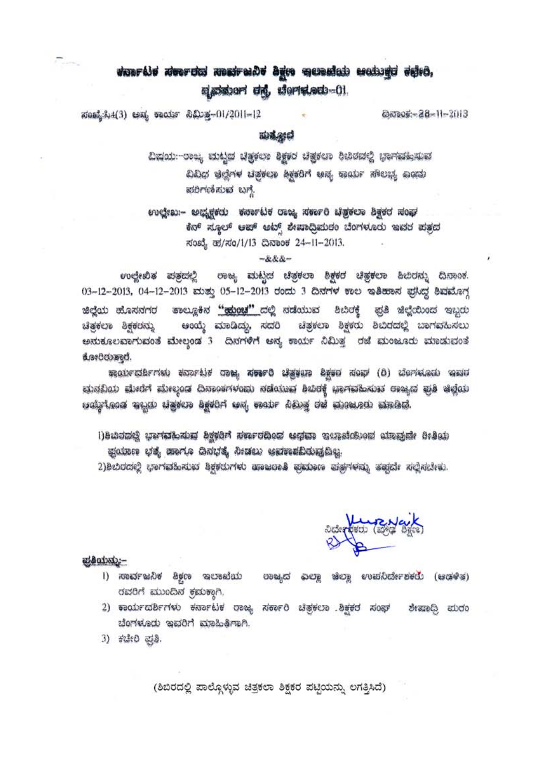# wonrálu stuorstol smalredbu agos menulais maissysi delse, ವೃವಾತುಂಗ ರಸ್ತೆ, ಬೋಗಳೂರು-01.

ಸಂಖ್ಯೆ:ಸಿ4(3) ಅಷ್ಟ ಕಾರ್ಯ ನಿಮಿತ್ರ-01/2011-12

@NROF 38-11-2013

#### **TOM ASSOCIATE**

ವಿಷಯ:-ರಾಜ್ಯ ಮಟ್ಟದ ಚಿತ್ರಕಲಾ ಶಿಕ್ಷಕರ ಚಿತ್ರಕಲಾ ರಿಬಿಠದಲ್ಲಿ ಭಾಗವಹಿಸುವ ವಿವಿಧ ಜ್ಞರ್ಲ್ಲೆಗಳ ಚಿತ್ರಕಲಾ ಶಿಕ್ಷಕರಿಗೆ ಅನ್ಯ ಕಾರ್ಯ ಸೌಲಭ್ಯ ಎಂದು ಪರಿಗಣಿಸುವ ಬಗ್ಗೆ.

ಉಲ್ಲೇಖ:-- ಅಧ್ಯಕ್ಷಕರು ಕರ್ನಾಟಕ ರಾಜ್ಯ ಸರ್ಕಾರಿ ಚಿತ್ರಕಲಾ ಶಿಕ್ಷಕರ ಸಂಘ ಕೆನ್ ಸ್ಥೂಲ್ ಆಪ್ ಅಟ್ಸ್ ಶೇಷಾಧ್ರಿಪುರಂ ಬೆಂಗಳೂರು ಇವರ ಪತ್ರದ ಸಂಖ್ಯೆ ಹ/ಸಂ/1/13 ದಿನಾಂಕ 24-11-2013.

#### $-888 -$

ಉಲ್ಲೇಖಿತ ಪತ್ರದಲ್ಲಿ ರಾಜ್ಯ ಮಟ್ಟದ ಚಿತ್ರಕಲಾ ಶಿಕ್ಷಕರ ಚಿತ್ರಕಲಾ ಹಿಬಿರನ್ನು ದಿನಾಂಕ. 03-12-2013, 04-12-2013 ಮತ್ತು 05-12-2013 ರಂದು 3 ದಿನಗಳ ಕಾಲ ಇತಿಹಾಸ ಫ್ರಸಿದ್ಧ ಶಿವಮೊಗ್ಗ ಜಿಲ್ಲೆಯ ಹೊಸನಗರ ತಾಲ್ಲೂಕಿನ <mark>''ಹುಂಚ''</mark> ದಲ್ಲಿ ಸಡೆಯುವ ಶಿಬಿರಕ್ಕೆ ಪ್ರತಿ ಜಿಲ್ಲೆಯಿಂದ ಇಬ್ಬರು ಚಿತ್ರಕಲಾ ಶಿಕ್ಷಕರು ಶಿಬಿರದಲ್ಲಿ ಬಾಗವಹಿಸಲು ಚಿತ್ರಕಲಾ ಶಿಕ್ಷಕರನ್ನು ಆಂಯ್ಡೆ ಮಾಡಿದ್ದು, ಸದರಿ ಅಸುಕೂಲವಾಗುವಂತೆ ಮೇಲ್ದಂಡ 3 ದಿನಗಳಿಗೆ ಅನ್ಯ ಕಾರ್ಯ ನಿಮಿತ್ಯ ರಜೆ ಮಂಜೂರು ಮಾಡುವಂತೆ ಕೋರಿರುತ್ತಾರೆ.

ಇಾರ್ಯದರ್ಶಿಗಳು ಕರ್ನಾಟಕ ರಾಜ್ಯ **ಸರ್ಕಾರಿ ಚಿತ್ರಕ**ಟಾ ಶಿಕ್ಷಕರ ಸಂಘ (ರಿ) ಬೆಂಗಳೂರು ಇವರ ಮನವಿಯ ಮೇರೆಗೆ ಮೇಲ್ದಂಡ ದಿನಾಂಕಗಳಂದು ಸಡೆಯುವ ಶಿಬಿರಕ್ಗೆ ಭಾಗವಹಿಸುವ ರಾಜ್ಯದ ಪ್ರತಿ ಜೆಲ್ಲೆಯ පශ්චූෆ්,ගෙක් කුඩුල්ට ප්මූල්පාං පිල්ල්පිෆ් පෘත්, කෙන්න එකිටමු ග්ස් ක්ෂෙයෙන්ට ක්ෂායික්.

1)වැඩසක්කු ಭಾಗವಹಿಸುವ ಶಿಕ್ಷಕರಿಗೆ ಸರ್ಕಾರದಿಂದ ಅಥವಾ ಇಲಾಖೆಯಿಂದ ಯಾವುದೇ ರೀತಿಯ ಫ್ಲಯಾಣ ಭತ್ಯ ಹಾಗೂ ದಿನಭತ್ಯೆ ನೀಡಲು ಅವಕಾಶವಿರುವುದಿಲ್ಲ.

2)ತಿಬಿರದಲ್ಲಿ ಭಾಗವಹಿಸುವ ತಿಕ್ಷಕರುಗಳು ಹಾಜರಾತಿ ಪುಮಾಣ ಪರ್ತ್ರಗಳನ್ನು ತಪ್ಪದೇ ಸಲ್ಲಿಸಬೇತು.

Notercial Cape Boro

ಪ್ರತಿಯನ್ನು:--

- 1) ಸಾರ್ವಜನಿಕ ಶಿಕ್ಷಣ ಇಲಾಖೆಯ වෘෂුක් බවමූ සිවමූ ಉස්රික්ෂාන්ත්ර (සශ්ෂීෂ්) ರವರಿಗೆ ಮುಂದಿನ ಕಮಕ್ಕಾಗಿ,
- 2) ಕಾರ್ಯದರ್ಶಿಗಳು ಕರ್ನಾಟಕ ರಾಜ್ಯ ಸರ್ಕಾರಿ ಚಿತ್ರಕಲಾ ಶಿಕ್ಷಕರ ಸಂಘ ಶೇಷಾಧ್ರಿ ಮರಂ ಬೆಂಗಳೂರು ಇವರಿಗೆ ಮಾಹಿತಿಗಾಗಿ.
- 3) ಕಚೇರಿ ಪ್ರತಿ.

(ಶಿಬಿರದಲ್ಲಿ ಪಾಲ್ಗೊಳ್ಳುವ ಚಿತ್ರಕಲಾ ಶಿಕ್ಷಕರ ಪಟ್ಟಿಯನ್ನು ಲಗತ್ತಿಸಿದೆ)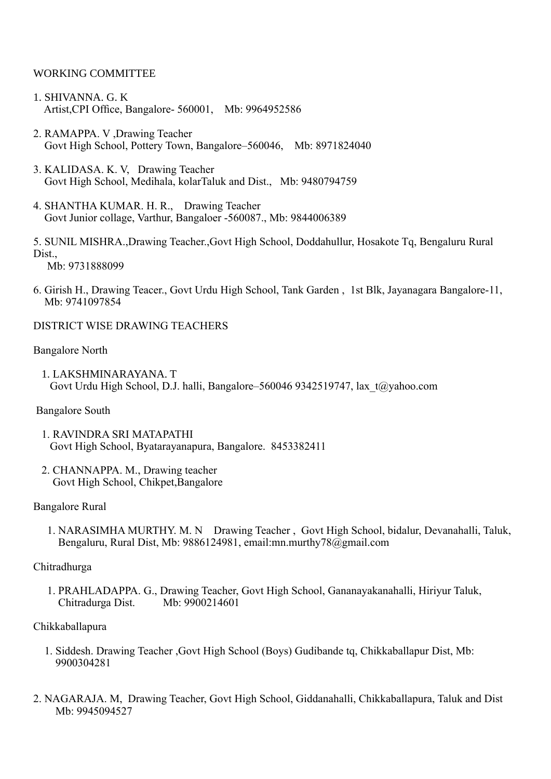#### WORKING COMMITTEE

- 1. SHIVANNA. G. K Artist,CPI Office, Bangalore- 560001, Mb: 9964952586
- 2. RAMAPPA. V ,Drawing Teacher Govt High School, Pottery Town, Bangalore–560046, Mb: 8971824040
- 3. KALIDASA. K. V, Drawing Teacher Govt High School, Medihala, kolarTaluk and Dist., Mb: 9480794759
- 4. SHANTHA KUMAR. H. R., Drawing Teacher Govt Junior collage, Varthur, Bangaloer -560087., Mb: 9844006389

5. SUNIL MISHRA.,Drawing Teacher.,Govt High School, Doddahullur, Hosakote Tq, Bengaluru Rural Dist.

Mb: 9731888099

6. Girish H., Drawing Teacer., Govt Urdu High School, Tank Garden , 1st Blk, Jayanagara Bangalore-11, Mb: 9741097854

#### DISTRICT WISE DRAWING TEACHERS

#### Bangalore North

 1. LAKSHMINARAYANA. T Govt Urdu High School, D.J. halli, Bangalore–560046 9342519747, lax\_t@yahoo.com

#### Bangalore South

- 1. RAVINDRA SRI MATAPATHI Govt High School, Byatarayanapura, Bangalore. 8453382411
- 2. CHANNAPPA. M., Drawing teacher Govt High School, Chikpet,Bangalore

#### Bangalore Rural

 1. NARASIMHA MURTHY. M. N Drawing Teacher , Govt High School, bidalur, Devanahalli, Taluk, Bengaluru, Rural Dist, Mb: 9886124981, email:mn.murthy78@gmail.com

#### Chitradhurga

 1. PRAHLADAPPA. G., Drawing Teacher, Govt High School, Gananayakanahalli, Hiriyur Taluk, Chitradurga Dist.

#### Chikkaballapura

- 1. Siddesh. Drawing Teacher ,Govt High School (Boys) Gudibande tq, Chikkaballapur Dist, Mb: 9900304281
- 2. NAGARAJA. M, Drawing Teacher, Govt High School, Giddanahalli, Chikkaballapura, Taluk and Dist Mb: 9945094527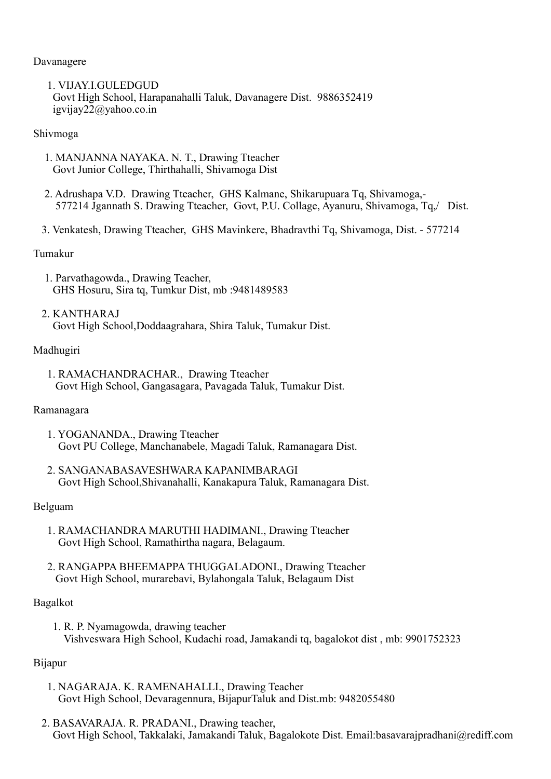#### Davanagere

1. VIJAY I GULEDGUD Govt High School, Harapanahalli Taluk, Davanagere Dist. 9886352419 igvijay22@yahoo.co.in

#### Shivmoga

- 1. MANJANNA NAYAKA. N. T., Drawing Tteacher Govt Junior College, Thirthahalli, Shivamoga Dist
- 2. Adrushapa V.D. Drawing Tteacher, GHS Kalmane, Shikarupuara Tq, Shivamoga,- 577214 Jgannath S. Drawing Tteacher, Govt, P.U. Collage, Ayanuru, Shivamoga, Tq,/ Dist.
- 3. Venkatesh, Drawing Tteacher, GHS Mavinkere, Bhadravthi Tq, Shivamoga, Dist. 577214

#### Tumakur

- 1. Parvathagowda., Drawing Teacher, GHS Hosuru, Sira tq, Tumkur Dist, mb :9481489583
- 2. KANTHARAJ Govt High School,Doddaagrahara, Shira Taluk, Tumakur Dist.

#### Madhugiri

 1. RAMACHANDRACHAR., Drawing Tteacher Govt High School, Gangasagara, Pavagada Taluk, Tumakur Dist.

#### Ramanagara

- 1. YOGANANDA., Drawing Tteacher Govt PU College, Manchanabele, Magadi Taluk, Ramanagara Dist.
- 2. SANGANABASAVESHWARA KAPANIMBARAGI Govt High School,Shivanahalli, Kanakapura Taluk, Ramanagara Dist.

#### Belguam

- 1. RAMACHANDRA MARUTHI HADIMANI., Drawing Tteacher Govt High School, Ramathirtha nagara, Belagaum.
- 2. RANGAPPA BHEEMAPPA THUGGALADONI., Drawing Tteacher Govt High School, murarebavi, Bylahongala Taluk, Belagaum Dist

# Bagalkot

 1. R. P. Nyamagowda, drawing teacher Vishveswara High School, Kudachi road, Jamakandi tq, bagalokot dist , mb: 9901752323

# Bijapur

- 1. NAGARAJA. K. RAMENAHALLI., Drawing Teacher Govt High School, Devaragennura, BijapurTaluk and Dist.mb: 9482055480
- 2. BASAVARAJA. R. PRADANI., Drawing teacher, Govt High School, Takkalaki, Jamakandi Taluk, Bagalokote Dist. Email:basavarajpradhani@rediff.com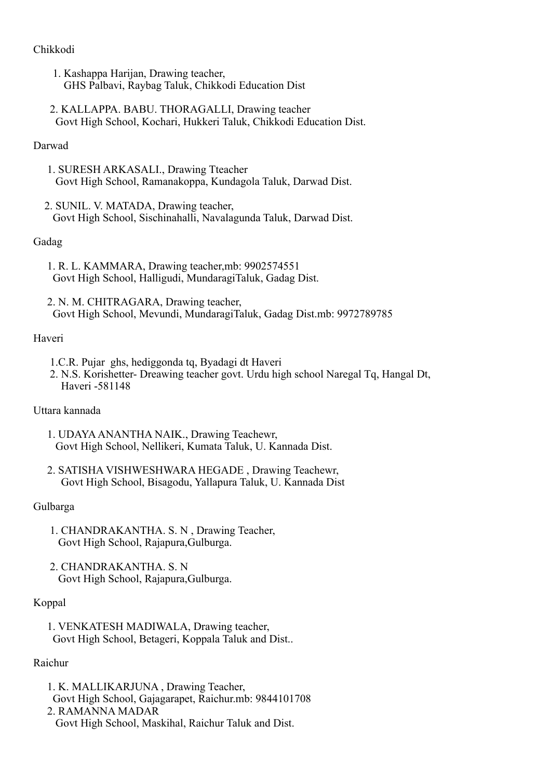# Chikkodi

- 1. Kashappa Harijan, Drawing teacher, GHS Palbavi, Raybag Taluk, Chikkodi Education Dist
- 2. KALLAPPA. BABU. THORAGALLI, Drawing teacher Govt High School, Kochari, Hukkeri Taluk, Chikkodi Education Dist.

#### Darwad

- 1. SURESH ARKASALI., Drawing Tteacher Govt High School, Ramanakoppa, Kundagola Taluk, Darwad Dist.
- 2. SUNIL. V. MATADA, Drawing teacher, Govt High School, Sischinahalli, Navalagunda Taluk, Darwad Dist.

# Gadag

- 1. R. L. KAMMARA, Drawing teacher,mb: 9902574551 Govt High School, Halligudi, MundaragiTaluk, Gadag Dist.
- 2. N. M. CHITRAGARA, Drawing teacher, Govt High School, Mevundi, MundaragiTaluk, Gadag Dist.mb: 9972789785

# Haveri

- 1.C.R. Pujar ghs, hediggonda tq, Byadagi dt Haveri
- 2. N.S. Korishetter- Dreawing teacher govt. Urdu high school Naregal Tq, Hangal Dt, Haveri -581148

# Uttara kannada

- 1. UDAYA ANANTHA NAIK., Drawing Teachewr, Govt High School, Nellikeri, Kumata Taluk, U. Kannada Dist.
- 2. SATISHA VISHWESHWARA HEGADE , Drawing Teachewr, Govt High School, Bisagodu, Yallapura Taluk, U. Kannada Dist

# Gulbarga

- 1. CHANDRAKANTHA. S. N , Drawing Teacher, Govt High School, Rajapura,Gulburga.
- 2. CHANDRAKANTHA. S. N Govt High School, Rajapura,Gulburga.

# Koppal

 1. VENKATESH MADIWALA, Drawing teacher, Govt High School, Betageri, Koppala Taluk and Dist..

# Raichur

- 1. K. MALLIKARJUNA , Drawing Teacher,
- Govt High School, Gajagarapet, Raichur.mb: 9844101708
- 2. RAMANNA MADAR
	- Govt High School, Maskihal, Raichur Taluk and Dist.